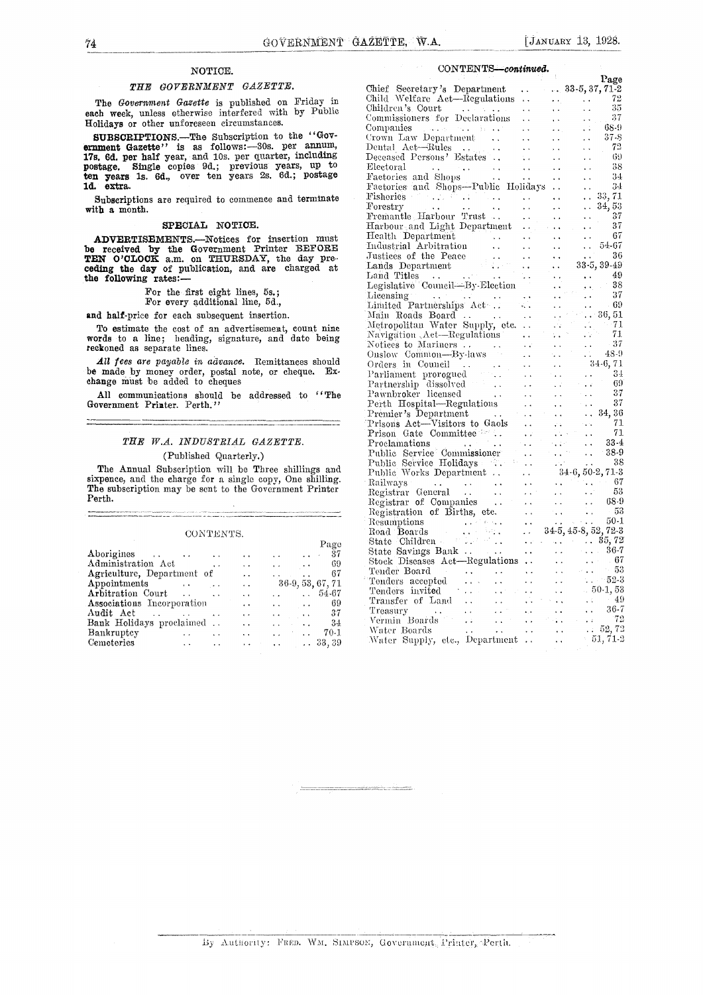#### NOTICE.

#### THE GOVERNMENT GAZETTE.

The Government Gazette is published on Friday in each week, unless otherwise interfered with by Public Holidays or other unforeseen circumstances.

SUBSCRIPTIONS. The Subscription to the "Government Gazette" is as follows: 30s. per annum, Dental 17s. 6d. per half year, and 10s. per quarter, including Deceasupostage. Single copies 9d.; previous years, up to Electo ten years 1s. 6d., over ten years 2s. 6d.; postage Face ld. extra.

Subscriptions are required to commence and terminate with a month.

#### SPECIAL NOTICE.

ADVERTISEMENTS.-Notices for insertion must be received by the Government Printer BEFORE<br>TEN O'CLOCK a.m. on THURSDAY, the day preceding the day of publication, and are charged at the following rates:

- For the first eight lines, 5s.; For every additional line, 5d.,
- 

and half-price for each subsequent insertion.

To estimate the cost of an advertisement, count nine words to a line; heading, signature, and date being reckoned as separate lines.

All fees are payable in advance. Remittances should be made by money order, postal note, or cheque. Exchange must be added to cheques

All communications should be addressed to "The Government Printer, Perth."

#### THE W.A. INDUSTRIAL GAZETTE. (Published Quarterly.)

The Annual Subscription will be Three shillings and sixpence, and the charge for a single copy, One shilling. The subscription may be sent to the Government Printer Perth.

#### CONTENTS.

|                                                      |                      |                      |                                   |                 | Stat<br>Page |
|------------------------------------------------------|----------------------|----------------------|-----------------------------------|-----------------|--------------|
| Aborigines                                           |                      | $\ddot{\phantom{a}}$ | $\ldots$ $\ldots$ 37              |                 | Stat         |
| Administration Act<br><b><i>Contract State</i></b>   |                      | $\ddotsc$            | $\mathbf{r}$                      | <b>Contract</b> | Stoc<br>-69  |
| Agriculture, Department of                           |                      | $\ddot{\phantom{0}}$ | and the state of the state of the |                 | Ten<br>-67   |
| Appointments                                         |                      | $\ddot{\phantom{a}}$ | $36-9, 53, 67, 71$                |                 | Ten          |
| Arbitration Court                                    |                      | $\ddot{\phantom{a}}$ | $\ldots$ 54.67                    |                 | Ten          |
| <b>Associations</b> Incorporation                    |                      | $\ddot{\phantom{1}}$ | Alberta Contracto                 |                 | Tra<br>69    |
| Audit Act<br>and the state of the state of the state |                      | $\ddot{\phantom{0}}$ | and the parameters                |                 | Tre<br>37    |
| Bank Holidays proclaimed                             |                      | $\ddot{\phantom{0}}$ | and the state of the state of     |                 | – Ver<br>-34 |
| Bankruptcy<br>$\sim$ $\sim$ $\sim$ $\sim$ $\sim$     | $\ddot{\phantom{1}}$ | $\ddot{\phantom{a}}$ | and the property of the same      |                 | Wa<br>70-1   |
| Cemeteries<br>$\sim 100$ km $^{-1}$                  | $\ddot{\phantom{1}}$ |                      | $\ldots$ $\ldots$ $\ldots$ 33, 39 |                 | -Wa          |

#### CONTENTS\_continued

| $\begin{tabular}{cccc} \textbf{Chief} & \textbf{Severtary's Department} & \textbf{Page 131} & \textbf{Page 24} \\ \textbf{Chilef} & \textbf{Necretary's Department} & \textbf{133.5, 77.12} \\ \textbf{Collid level's Court} & \textbf{133.5, 77.12} \\ \textbf{Collidred's Court} & \textbf{133.5, 77.13} \\ \textbf{Computer's Court} & \textbf{133.5, 77.14} \\ \textbf{Computer's Court} & \textbf{133.5, 77.15} \\ \textbf{Dettestad Persion' Existes} & \textbf$ |  |
|------------------------------------------------------------------------------------------------------------------------------------------------------------------------------------------------------------------------------------------------------------------------------------------------------------------------------------------------------------------------------------------------------------------------------------------------------------------------|--|
|                                                                                                                                                                                                                                                                                                                                                                                                                                                                        |  |
|                                                                                                                                                                                                                                                                                                                                                                                                                                                                        |  |
|                                                                                                                                                                                                                                                                                                                                                                                                                                                                        |  |
|                                                                                                                                                                                                                                                                                                                                                                                                                                                                        |  |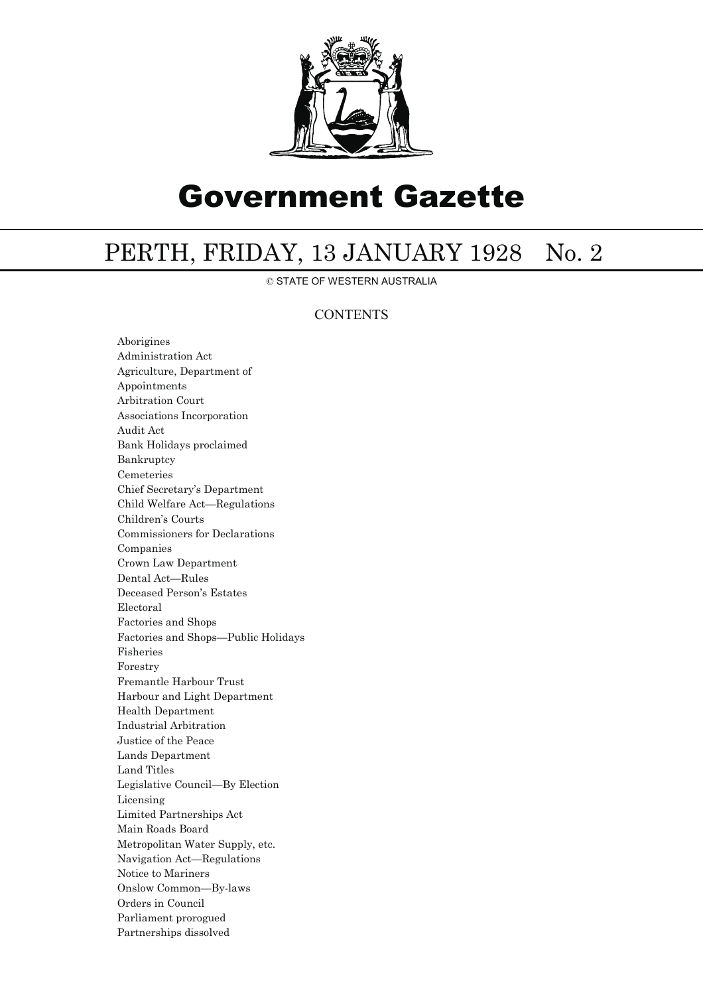

# Government Gazette

## PERTH, FRIDAY, 13 JANUARY 1928 No. 2

© STATE OF WESTERN AUSTRALIA

### **CONTENTS**

Aborigines Administration Act Agriculture, Department of Appointments Arbitration Court Associations Incorporation Audit Act Bank Holidays proclaimed Bankruptcy Cemeteries Chief Secretary's Department Child Welfare Act—Regulations Children's Courts Commissioners for Declarations Companies Crown Law Department Dental Act—Rules Deceased Person's Estates Electoral Factories and Shops Factories and Shops—Public Holidays Fisheries Forestry Fremantle Harbour Trust Harbour and Light Department Health Department Industrial Arbitration Justice of the Peace Lands Department Land Titles Legislative Council—By Election Licensing Limited Partnerships Act Main Roads Board Metropolitan Water Supply, etc. Navigation Act—Regulations Notice to Mariners Onslow Common—By-laws Orders in Council Parliament prorogued Partnerships dissolved